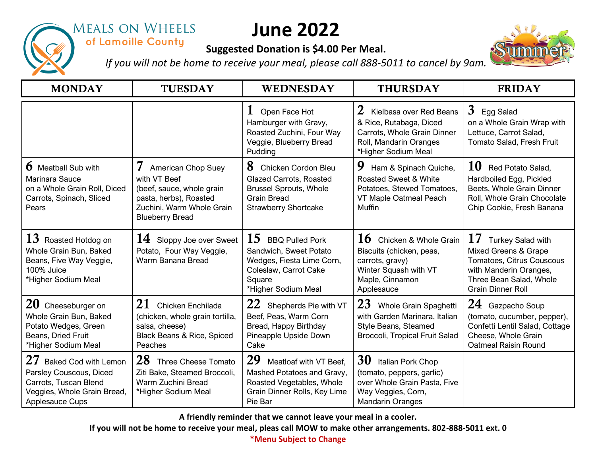

## **MEALS ON WHEELS** of Lamoille County

## **June 2022**

## **Suggested Donation is \$4.00 Per Meal.**



*If you will not be home to receive your meal, please call 888-5011 to cancel by 9am.*

| <b>MONDAY</b>                                                                                                                                  | <b>TUESDAY</b>                                                                                                                                        | <b>WEDNESDAY</b>                                                                                                                                 | <b>THURSDAY</b>                                                                                                                                | <b>FRIDAY</b>                                                                                                                                                 |
|------------------------------------------------------------------------------------------------------------------------------------------------|-------------------------------------------------------------------------------------------------------------------------------------------------------|--------------------------------------------------------------------------------------------------------------------------------------------------|------------------------------------------------------------------------------------------------------------------------------------------------|---------------------------------------------------------------------------------------------------------------------------------------------------------------|
|                                                                                                                                                |                                                                                                                                                       | Open Face Hot<br>Hamburger with Gravy,<br>Roasted Zuchini, Four Way<br>Veggie, Blueberry Bread<br>Pudding                                        | $\bf{z}$<br>Kielbasa over Red Beans<br>& Rice, Rutabaga, Diced<br>Carrots, Whole Grain Dinner<br>Roll, Mandarin Oranges<br>*Higher Sodium Meal | $\mathbf{3}$<br>Egg Salad<br>on a Whole Grain Wrap with<br>Lettuce, Carrot Salad,<br>Tomato Salad, Fresh Fruit                                                |
| <b>b</b> Meatball Sub with<br>Marinara Sauce<br>on a Whole Grain Roll, Diced<br>Carrots, Spinach, Sliced<br>Pears                              | 7<br>American Chop Suey<br>with VT Beef<br>(beef, sauce, whole grain<br>pasta, herbs), Roasted<br>Zuchini, Warm Whole Grain<br><b>Blueberry Bread</b> | 8<br>Chicken Cordon Bleu<br><b>Glazed Carrots, Roasted</b><br><b>Brussel Sprouts, Whole</b><br><b>Grain Bread</b><br><b>Strawberry Shortcake</b> | 9<br>Ham & Spinach Quiche,<br><b>Roasted Sweet &amp; White</b><br>Potatoes, Stewed Tomatoes,<br>VT Maple Oatmeal Peach<br>Muffin               | 10<br>Red Potato Salad,<br>Hardboiled Egg, Pickled<br>Beets, Whole Grain Dinner<br>Roll, Whole Grain Chocolate<br>Chip Cookie, Fresh Banana                   |
| 13<br>Roasted Hotdog on<br>Whole Grain Bun, Baked<br>Beans, Five Way Veggie,<br>100% Juice<br>*Higher Sodium Meal                              | 14<br>Sloppy Joe over Sweet<br>Potato, Four Way Veggie,<br>Warm Banana Bread                                                                          | 15<br><b>BBQ Pulled Pork</b><br>Sandwich, Sweet Potato<br>Wedges, Fiesta Lime Corn,<br>Coleslaw, Carrot Cake<br>Square<br>*Higher Sodium Meal    | 16<br>Chicken & Whole Grain<br>Biscuits (chicken, peas,<br>carrots, gravy)<br>Winter Squash with VT<br>Maple, Cinnamon<br>Applesauce           | 17<br>Turkey Salad with<br>Mixed Greens & Grape<br>Tomatoes, Citrus Couscous<br>with Manderin Oranges,<br>Three Bean Salad, Whole<br><b>Grain Dinner Roll</b> |
| $20$ Cheeseburger on<br>Whole Grain Bun, Baked<br>Potato Wedges, Green<br>Beans, Dried Fruit<br>*Higher Sodium Meal                            | 21<br>Chicken Enchilada<br>(chicken, whole grain tortilla,<br>salsa, cheese)<br>Black Beans & Rice, Spiced<br>Peaches                                 | 22<br>Shepherds Pie with VT<br>Beef, Peas, Warm Corn<br>Bread, Happy Birthday<br>Pineapple Upside Down<br>Cake                                   | 23<br>Whole Grain Spaghetti<br>with Garden Marinara, Italian<br>Style Beans, Steamed<br>Broccoli, Tropical Fruit Salad                         | 24 Gazpacho Soup<br>(tomato, cucumber, pepper),<br>Confetti Lentil Salad, Cottage<br>Cheese, Whole Grain<br><b>Oatmeal Raisin Round</b>                       |
| 27<br><b>Baked Cod with Lemon</b><br>Parsley Couscous, Diced<br>Carrots, Tuscan Blend<br>Veggies, Whole Grain Bread,<br><b>Applesauce Cups</b> | 28<br>Three Cheese Tomato<br>Ziti Bake, Steamed Broccoli,<br>Warm Zuchini Bread<br>*Higher Sodium Meal                                                | 29<br>Meatloaf with VT Beef,<br>Mashed Potatoes and Gravy,<br>Roasted Vegetables, Whole<br>Grain Dinner Rolls, Key Lime<br>Pie Bar               | 30<br>Italian Pork Chop<br>(tomato, peppers, garlic)<br>over Whole Grain Pasta, Five<br>Way Veggies, Corn,<br><b>Mandarin Oranges</b>          |                                                                                                                                                               |

**A friendly reminder that we cannot leave your meal in a cooler.**

**If you will not be home to receive your meal, pleas call MOW to make other arrangements. 802-888-5011 ext. 0**

**\*Menu Subject to Change**